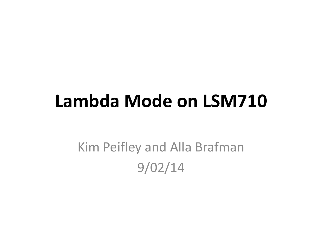## **Lambda Mode on LSM710**

Kim Peifley and Alla Brafman 9/02/14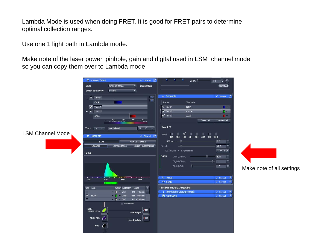Lambda Mode is used when doing FRET. It is good for FRET pairs to determine optimal collection ranges.

Use one 1 light path in Lambda mode.

Make note of the laser power, pinhole, gain and digital used in LSM channel mode so you can copy them over to Lambda mode

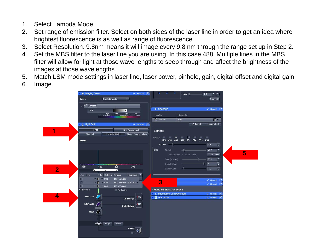- 1. Select Lambda Mode.
- 2. Set range of emission filter. Select on both sides of the laser line in order to get an idea where brightest fluorescence is as well as range of fluorescence.
- 3. Select Resolution. 9.8nm means it will image every 9.8 nm through the range set up in Step 2.
- 4. Set the MBS filter to the laser line you are using. In this case 488. Multiple lines in the MBS filter will allow for light at those wave lengths to seep through and affect the brightness of the images at those wavelengths.
- 5. Match LSM mode settings in laser line, laser power, pinhole, gain, digital offset and digital gain.
- 6. Image.

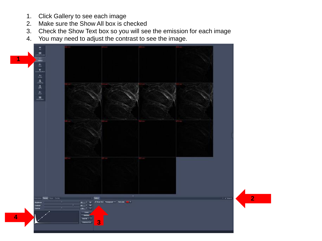- 1. Click Gallery to see each image
- 2. Make sure the Show All box is checked
- 3. Check the Show Text box so you will see the emission for each image
- 4. You may need to adjust the contrast to see the image.